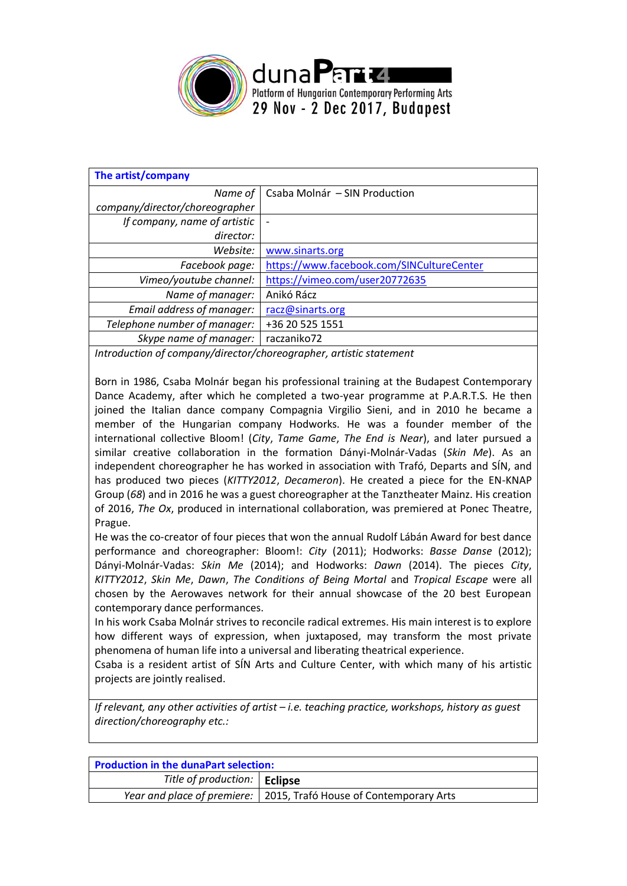

| The artist/company             |                                           |
|--------------------------------|-------------------------------------------|
| Name of                        | Csaba Molnár - SIN Production             |
| company/director/choreographer |                                           |
| If company, name of artistic   |                                           |
| director:                      |                                           |
| Website:                       | www.sinarts.org                           |
| Facebook page:                 | https://www.facebook.com/SINCultureCenter |
| Vimeo/youtube channel:         | https://vimeo.com/user20772635            |
| Name of manager:               | Anikó Rácz                                |
| Email address of manager:      | racz@sinarts.org                          |
| Telephone number of manager:   | +36 20 525 1551                           |
| Skype name of manager:         | raczaniko72                               |
|                                |                                           |

*Introduction of company/director/choreographer, artistic statement*

Born in 1986, Csaba Molnár began his professional training at the Budapest Contemporary Dance Academy, after which he completed a two-year programme at P.A.R.T.S. He then joined the Italian dance company Compagnia Virgilio Sieni, and in 2010 he became a member of the Hungarian company Hodworks. He was a founder member of the international collective Bloom! (*City*, *Tame Game*, *The End is Near*), and later pursued a similar creative collaboration in the formation Dányi-Molnár-Vadas (*Skin Me*). As an independent choreographer he has worked in association with Trafó, Departs and SÍN, and has produced two pieces (*KITTY2012*, *Decameron*). He created a piece for the EN-KNAP Group (*68*) and in 2016 he was a guest choreographer at the Tanztheater Mainz. His creation of 2016, *The Ox*, produced in international collaboration, was premiered at Ponec Theatre, Prague.

He was the co-creator of four pieces that won the annual Rudolf Lábán Award for best dance performance and choreographer: Bloom!: *City* (2011); Hodworks: *Basse Danse* (2012); Dányi-Molnár-Vadas: *Skin Me* (2014); and Hodworks: *Dawn* (2014). The pieces *City*, *KITTY2012*, *Skin Me*, *Dawn*, *The Conditions of Being Mortal* and *Tropical Escape* were all chosen by the Aerowaves network for their annual showcase of the 20 best European contemporary dance performances.

In his work Csaba Molnár strives to reconcile radical extremes. His main interest is to explore how different ways of expression, when juxtaposed, may transform the most private phenomena of human life into a universal and liberating theatrical experience.

Csaba is a resident artist of SÍN Arts and Culture Center, with which many of his artistic projects are jointly realised.

*If relevant, any other activities of artist – i.e. teaching practice, workshops, history as guest direction/choreography etc.:*

| <b>Production in the dunaPart selection:</b> |                                                                      |  |
|----------------------------------------------|----------------------------------------------------------------------|--|
| Title of production:   Eclipse               |                                                                      |  |
|                                              | Year and place of premiere:   2015, Trafó House of Contemporary Arts |  |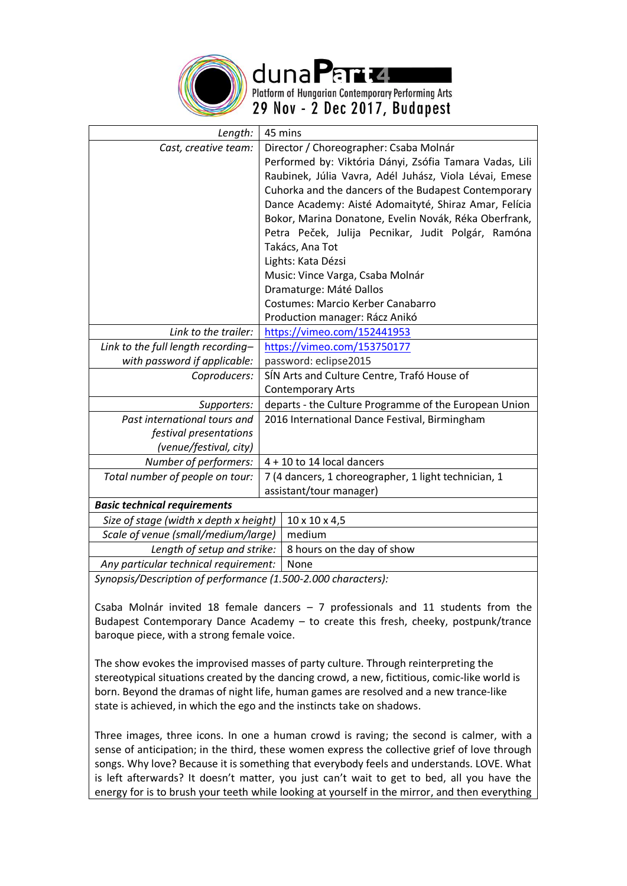

duna Parte Platform of Hungarian Contemporary Performing Arts

29 Nov - 2 Dec 2017, Budapest

| Length:                                |  | 45 mins                                                 |
|----------------------------------------|--|---------------------------------------------------------|
| Cast, creative team:                   |  | Director / Choreographer: Csaba Molnár                  |
|                                        |  | Performed by: Viktória Dányi, Zsófia Tamara Vadas, Lili |
|                                        |  | Raubinek, Júlia Vavra, Adél Juhász, Viola Lévai, Emese  |
|                                        |  | Cuhorka and the dancers of the Budapest Contemporary    |
|                                        |  | Dance Academy: Aisté Adomaityté, Shiraz Amar, Felícia   |
|                                        |  | Bokor, Marina Donatone, Evelin Novák, Réka Oberfrank,   |
|                                        |  | Petra Peček, Julija Pecnikar, Judit Polgár, Ramóna      |
|                                        |  | Takács, Ana Tot                                         |
|                                        |  | Lights: Kata Dézsi                                      |
|                                        |  | Music: Vince Varga, Csaba Molnár                        |
|                                        |  | Dramaturge: Máté Dallos                                 |
|                                        |  | <b>Costumes: Marcio Kerber Canabarro</b>                |
|                                        |  | Production manager: Rácz Anikó                          |
| Link to the trailer:                   |  | https://vimeo.com/152441953                             |
| Link to the full length recording-     |  | https://vimeo.com/153750177                             |
| with password if applicable:           |  | password: eclipse2015                                   |
| Coproducers:                           |  | SÍN Arts and Culture Centre, Trafó House of             |
|                                        |  | <b>Contemporary Arts</b>                                |
| Supporters:                            |  | departs - the Culture Programme of the European Union   |
| Past international tours and           |  | 2016 International Dance Festival, Birmingham           |
| festival presentations                 |  |                                                         |
| (venue/festival, city)                 |  |                                                         |
| Number of performers:                  |  | $4 + 10$ to 14 local dancers                            |
| Total number of people on tour:        |  | 7 (4 dancers, 1 choreographer, 1 light technician, 1    |
|                                        |  | assistant/tour manager)                                 |
| <b>Basic technical requirements</b>    |  |                                                         |
| Size of stage (width x depth x height) |  | $10 \times 10 \times 4,5$                               |
| Scale of venue (small/medium/large)    |  | medium                                                  |
| Length of setup and strike:            |  | 8 hours on the day of show                              |
| Any particular technical requirement:  |  | None                                                    |

*Synopsis/Description of performance (1.500-2.000 characters):*

Csaba Molnár invited 18 female dancers  $-7$  professionals and 11 students from the Budapest Contemporary Dance Academy – to create this fresh, cheeky, postpunk/trance baroque piece, with a strong female voice.

The show evokes the improvised masses of party culture. Through reinterpreting the stereotypical situations created by the dancing crowd, a new, fictitious, comic-like world is born. Beyond the dramas of night life, human games are resolved and a new trance-like state is achieved, in which the ego and the instincts take on shadows.

Three images, three icons. In one a human crowd is raving; the second is calmer, with a sense of anticipation; in the third, these women express the collective grief of love through songs. Why love? Because it is something that everybody feels and understands. LOVE. What is left afterwards? It doesn't matter, you just can't wait to get to bed, all you have the energy for is to brush your teeth while looking at yourself in the mirror, and then everything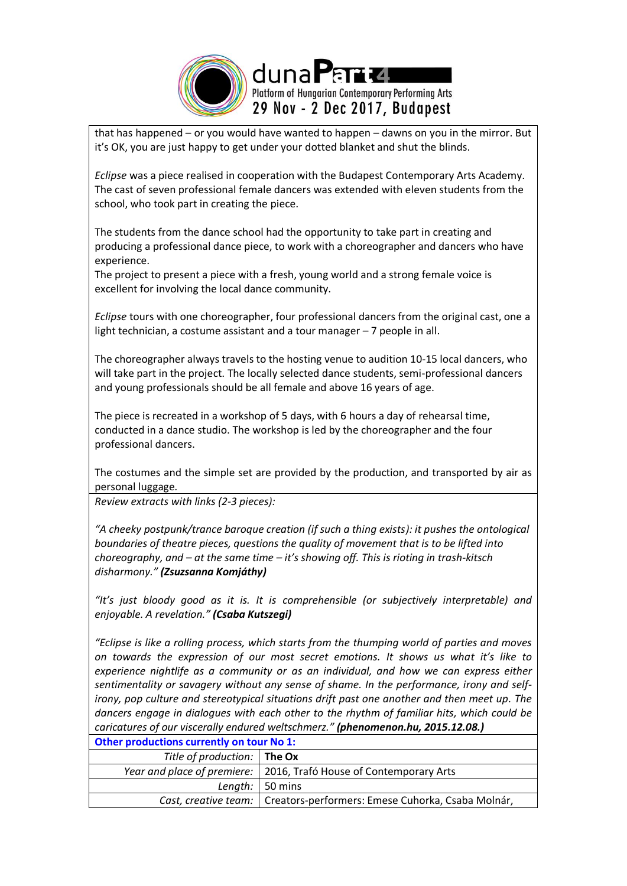

that has happened – or you would have wanted to happen – dawns on you in the mirror. But it's OK, you are just happy to get under your dotted blanket and shut the blinds.

*Eclipse* was a piece realised in cooperation with the Budapest Contemporary Arts Academy. The cast of seven professional female dancers was extended with eleven students from the school, who took part in creating the piece.

The students from the dance school had the opportunity to take part in creating and producing a professional dance piece, to work with a choreographer and dancers who have experience.

The project to present a piece with a fresh, young world and a strong female voice is excellent for involving the local dance community.

*Eclipse* tours with one choreographer, four professional dancers from the original cast, one a light technician, a costume assistant and a tour manager – 7 people in all.

The choreographer always travels to the hosting venue to audition 10-15 local dancers, who will take part in the project. The locally selected dance students, semi-professional dancers and young professionals should be all female and above 16 years of age.

The piece is recreated in a workshop of 5 days, with 6 hours a day of rehearsal time, conducted in a dance studio. The workshop is led by the choreographer and the four professional dancers.

The costumes and the simple set are provided by the production, and transported by air as personal luggage.

*Review extracts with links (2-3 pieces):* 

*"A cheeky postpunk/trance baroque creation (if such a thing exists): it pushes the ontological boundaries of theatre pieces, questions the quality of movement that is to be lifted into choreography, and – at the same time – it's showing off. This is rioting in trash-kitsch disharmony." (Zsuzsanna Komjáthy)* 

*"It's just bloody good as it is. It is comprehensible (or subjectively interpretable) and enjoyable. A revelation." (Csaba Kutszegi)*

*"Eclipse is like a rolling process, which starts from the thumping world of parties and moves on towards the expression of our most secret emotions. It shows us what it's like to experience nightlife as a community or as an individual, and how we can express either sentimentality or savagery without any sense of shame. In the performance, irony and selfirony, pop culture and stereotypical situations drift past one another and then meet up. The dancers engage in dialogues with each other to the rhythm of familiar hits, which could be caricatures of our viscerally endured weltschmerz." (phenomenon.hu, 2015.12.08.)*

| Other productions currently on tour No 1: |                                                                          |  |
|-------------------------------------------|--------------------------------------------------------------------------|--|
| Title of production: The Ox               |                                                                          |  |
|                                           | Year and place of premiere:   2016, Trafó House of Contemporary Arts     |  |
|                                           | Length: $\vert$ 50 mins                                                  |  |
|                                           | Cast, creative team:   Creators-performers: Emese Cuhorka, Csaba Molnár, |  |
|                                           |                                                                          |  |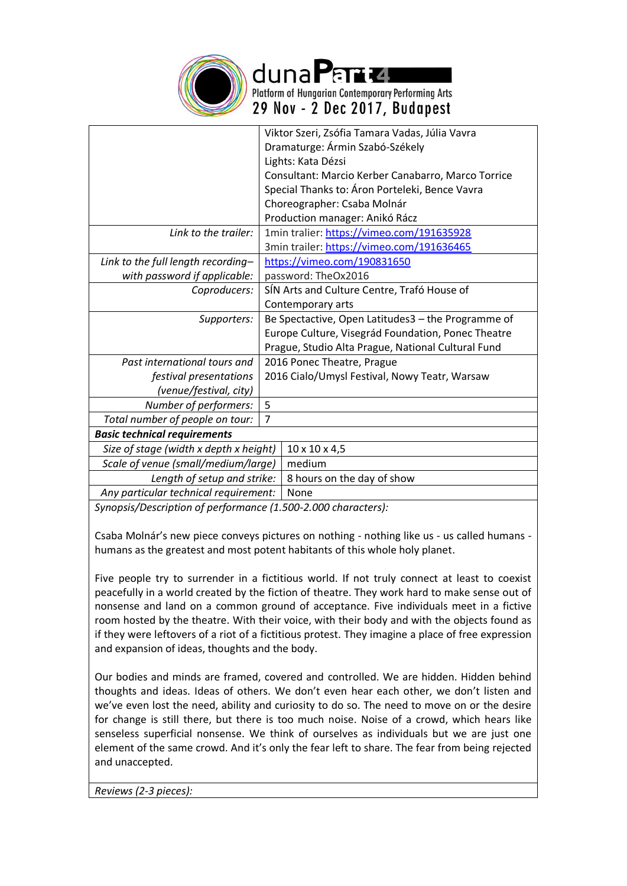

duna Partu Platform of Hungarian Contemporary Performing Arts 29 Nov - 2 Dec 2017, Budapest

|                                                               |                                                    | Viktor Szeri, Zsófia Tamara Vadas, Júlia Vavra     |
|---------------------------------------------------------------|----------------------------------------------------|----------------------------------------------------|
|                                                               | Dramaturge: Ármin Szabó-Székely                    |                                                    |
|                                                               | Lights: Kata Dézsi                                 |                                                    |
|                                                               |                                                    | Consultant: Marcio Kerber Canabarro, Marco Torrice |
|                                                               |                                                    | Special Thanks to: Áron Porteleki, Bence Vavra     |
|                                                               |                                                    | Choreographer: Csaba Molnár                        |
|                                                               |                                                    | Production manager: Anikó Rácz                     |
| Link to the trailer:                                          |                                                    | 1min tralier: https://vimeo.com/191635928          |
|                                                               |                                                    | 3min trailer: https://vimeo.com/191636465          |
| Link to the full length recording-                            | https://vimeo.com/190831650                        |                                                    |
| with password if applicable:                                  |                                                    | password: TheOx2016                                |
| Coproducers:                                                  | SÍN Arts and Culture Centre, Trafó House of        |                                                    |
|                                                               |                                                    | Contemporary arts                                  |
| Supporters:                                                   | Be Spectactive, Open Latitudes3 - the Programme of |                                                    |
|                                                               |                                                    | Europe Culture, Visegrád Foundation, Ponec Theatre |
|                                                               |                                                    | Prague, Studio Alta Prague, National Cultural Fund |
| Past international tours and                                  |                                                    | 2016 Ponec Theatre, Prague                         |
| festival presentations                                        | 2016 Cialo/Umysl Festival, Nowy Teatr, Warsaw      |                                                    |
| (venue/festival, city)                                        |                                                    |                                                    |
| Number of performers:                                         | 5                                                  |                                                    |
| Total number of people on tour:                               | $\overline{7}$                                     |                                                    |
| <b>Basic technical requirements</b>                           |                                                    |                                                    |
| Size of stage (width x depth x height)                        |                                                    | $10 \times 10 \times 4,5$                          |
| Scale of venue (small/medium/large)                           |                                                    | medium                                             |
| Length of setup and strike:                                   |                                                    | 8 hours on the day of show                         |
| Any particular technical requirement:                         |                                                    | None                                               |
| Suponsis/Description of performance (1,500-2,000 characters): |                                                    |                                                    |

*Synopsis/Description of performance (1.500-2.000 characters):*

Csaba Molnár's new piece conveys pictures on nothing - nothing like us - us called humans humans as the greatest and most potent habitants of this whole holy planet.

Five people try to surrender in a fictitious world. If not truly connect at least to coexist peacefully in a world created by the fiction of theatre. They work hard to make sense out of nonsense and land on a common ground of acceptance. Five individuals meet in a fictive room hosted by the theatre. With their voice, with their body and with the objects found as if they were leftovers of a riot of a fictitious protest. They imagine a place of free expression and expansion of ideas, thoughts and the body.

Our bodies and minds are framed, covered and controlled. We are hidden. Hidden behind thoughts and ideas. Ideas of others. We don't even hear each other, we don't listen and we've even lost the need, ability and curiosity to do so. The need to move on or the desire for change is still there, but there is too much noise. Noise of a crowd, which hears like senseless superficial nonsense. We think of ourselves as individuals but we are just one element of the same crowd. And it's only the fear left to share. The fear from being rejected and unaccepted.

*Reviews (2-3 pieces):*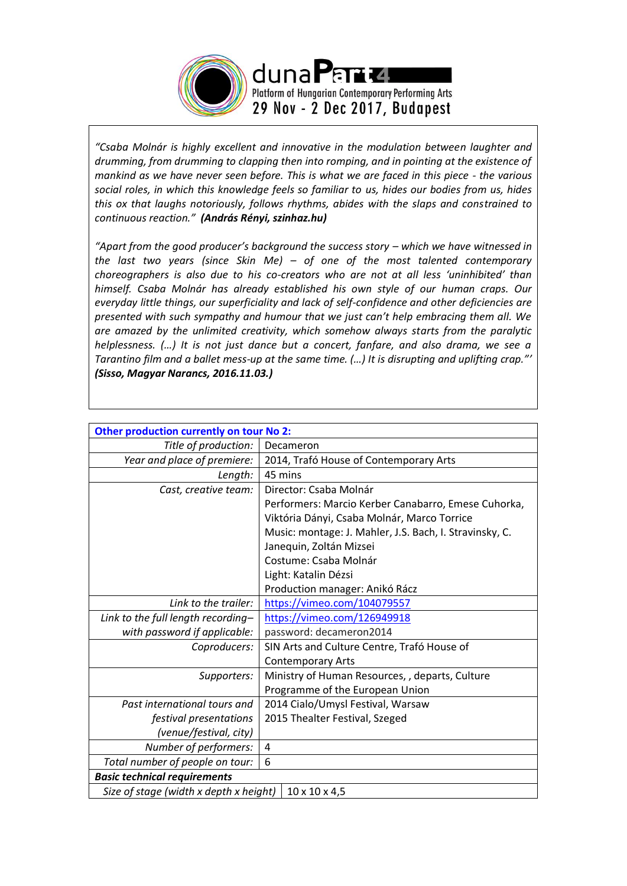

*"Csaba Molnár is highly excellent and innovative in the modulation between laughter and drumming, from drumming to clapping then into romping, and in pointing at the existence of mankind as we have never seen before. This is what we are faced in this piece - the various social roles, in which this knowledge feels so familiar to us, hides our bodies from us, hides this ox that laughs notoriously, follows rhythms, abides with the slaps and constrained to continuous reaction." (András Rényi, szinhaz.hu)*

*"Apart from the good producer's background the success story – which we have witnessed in the last two years (since Skin Me) – of one of the most talented contemporary choreographers is also due to his co-creators who are not at all less 'uninhibited' than himself. Csaba Molnár has already established his own style of our human craps. Our everyday little things, our superficiality and lack of self-confidence and other deficiencies are presented with such sympathy and humour that we just can't help embracing them all. We are amazed by the unlimited creativity, which somehow always starts from the paralytic helplessness. (…) It is not just dance but a concert, fanfare, and also drama, we see a Tarantino film and a ballet mess-up at the same time. (…) It is disrupting and uplifting crap."' (Sisso, Magyar Narancs, 2016.11.03.)* 

| Other production currently on tour No 2: |                                                         |  |
|------------------------------------------|---------------------------------------------------------|--|
| Title of production:                     | Decameron                                               |  |
| Year and place of premiere:              | 2014, Trafó House of Contemporary Arts                  |  |
| Length:                                  | 45 mins                                                 |  |
| Cast, creative team:                     | Director: Csaba Molnár                                  |  |
|                                          | Performers: Marcio Kerber Canabarro, Emese Cuhorka,     |  |
|                                          | Viktória Dányi, Csaba Molnár, Marco Torrice             |  |
|                                          | Music: montage: J. Mahler, J.S. Bach, I. Stravinsky, C. |  |
|                                          | Janequin, Zoltán Mizsei                                 |  |
|                                          | Costume: Csaba Molnár                                   |  |
|                                          | Light: Katalin Dézsi                                    |  |
|                                          | Production manager: Anikó Rácz                          |  |
| Link to the trailer:                     | https://vimeo.com/104079557                             |  |
| Link to the full length recording-       | https://vimeo.com/126949918                             |  |
| with password if applicable:             | password: decameron2014                                 |  |
| Coproducers:                             | SIN Arts and Culture Centre, Trafó House of             |  |
|                                          | <b>Contemporary Arts</b>                                |  |
| Supporters:                              | Ministry of Human Resources, , departs, Culture         |  |
|                                          | Programme of the European Union                         |  |
| Past international tours and             | 2014 Cialo/Umysl Festival, Warsaw                       |  |
| festival presentations                   | 2015 Thealter Festival, Szeged                          |  |
| (venue/festival, city)                   |                                                         |  |
| Number of performers:                    | $\overline{4}$                                          |  |
| Total number of people on tour:          | 6                                                       |  |
| <b>Basic technical requirements</b>      |                                                         |  |
| Size of stage (width x depth x height)   | $10 \times 10 \times 4,5$                               |  |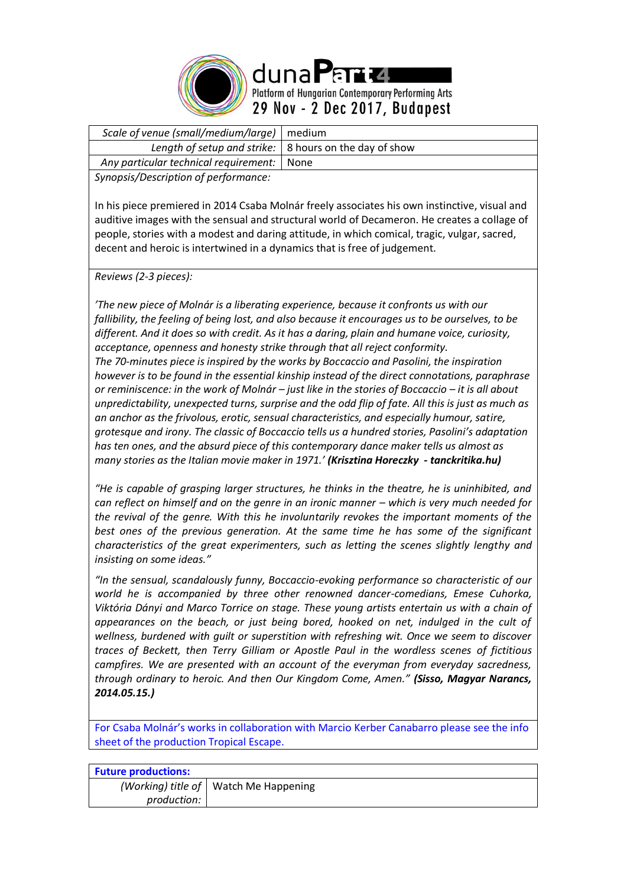

| Scale of venue (small/medium/large)   medium |                                                                |
|----------------------------------------------|----------------------------------------------------------------|
|                                              | Length of setup and strike: $\vert$ 8 hours on the day of show |
| Any particular technical requirement:   None |                                                                |
|                                              |                                                                |

*Synopsis/Description of performance:*

In his piece premiered in 2014 Csaba Molnár freely associates his own instinctive, visual and auditive images with the sensual and structural world of Decameron. He creates a collage of people, stories with a modest and daring attitude, in which comical, tragic, vulgar, sacred, decent and heroic is intertwined in a dynamics that is free of judgement.

*Reviews (2-3 pieces):* 

*'The new piece of Molnár is a liberating experience, because it confronts us with our fallibility, the feeling of being lost, and also because it encourages us to be ourselves, to be different. And it does so with credit. As it has a daring, plain and humane voice, curiosity, acceptance, openness and honesty strike through that all reject conformity. The 70-minutes piece is inspired by the works by Boccaccio and Pasolini, the inspiration however is to be found in the essential kinship instead of the direct connotations, paraphrase or reminiscence: in the work of Molnár – just like in the stories of Boccaccio – it is all about unpredictability, unexpected turns, surprise and the odd flip of fate. All this is just as much as an anchor as the frivolous, erotic, sensual characteristics, and especially humour, satire, grotesque and irony. The classic of Boccaccio tells us a hundred stories, Pasolini's adaptation has ten ones, and the absurd piece of this contemporary dance maker tells us almost as many stories as the Italian movie maker in 1971.' (Krisztina Horeczky - tanckritika.hu)*

*"He is capable of grasping larger structures, he thinks in the theatre, he is uninhibited, and can reflect on himself and on the genre in an ironic manner – which is very much needed for the revival of the genre. With this he involuntarily revokes the important moments of the best ones of the previous generation. At the same time he has some of the significant characteristics of the great experimenters, such as letting the scenes slightly lengthy and insisting on some ideas."*

*"In the sensual, scandalously funny, Boccaccio-evoking performance so characteristic of our world he is accompanied by three other renowned dancer-comedians, Emese Cuhorka, Viktória Dányi and Marco Torrice on stage. These young artists entertain us with a chain of appearances on the beach, or just being bored, hooked on net, indulged in the cult of wellness, burdened with guilt or superstition with refreshing wit. Once we seem to discover traces of Beckett, then Terry Gilliam or Apostle Paul in the wordless scenes of fictitious campfires. We are presented with an account of the everyman from everyday sacredness, through ordinary to heroic. And then Our Kingdom Come, Amen." (Sisso, Magyar Narancs, 2014.05.15.)* 

For Csaba Molnár's works in collaboration with Marcio Kerber Canabarro please see the info sheet of the production Tropical Escape.

| <b>Future productions:</b> |                                         |
|----------------------------|-----------------------------------------|
|                            | (Working) title of   Watch Me Happening |
| production:                |                                         |